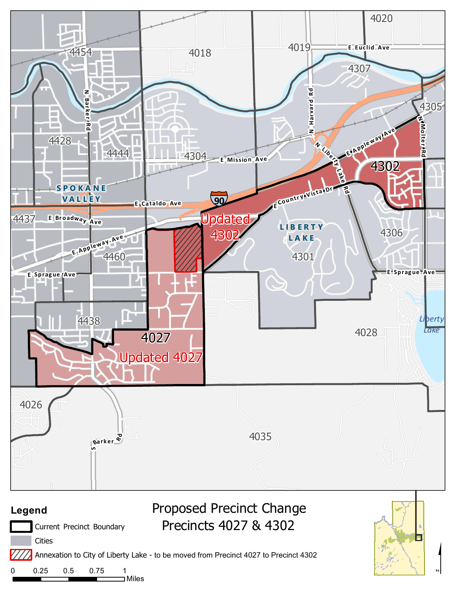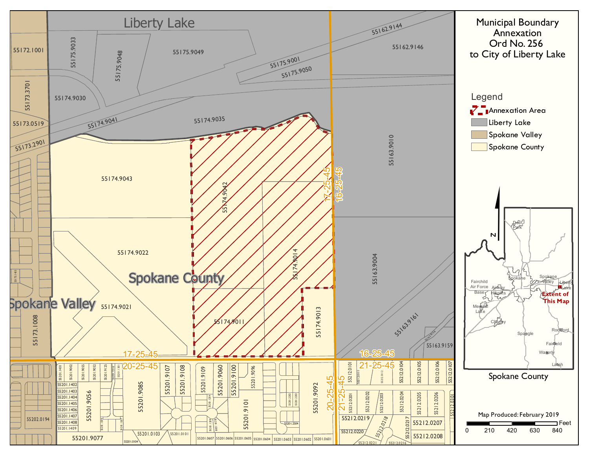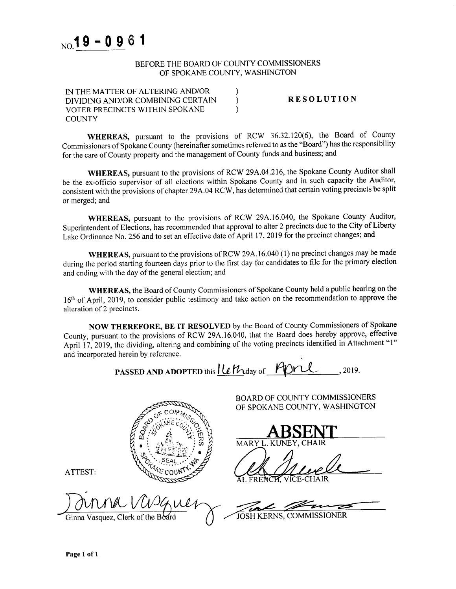

## BEFORE THE BOARD OF COUNTY COMMISSIONERS OF SPOKANE COUNTY, WASHINGTON

 $\mathcal{E}$ 

| IN THE MATTER OF ALTERING AND/OR  |  |
|-----------------------------------|--|
| DIVIDING AND/OR COMBINING CERTAIN |  |
| VOTER PRECINCTS WITHIN SPOKANE    |  |
| <b>COUNTY</b>                     |  |

**RESOLUTION** 

WHEREAS, pursuant to the provisions of RCW 36.32.120(6), the Board of County Commissioners of Spokane County (hereinafter sometimes referred to as the "Board") has the responsibility for the care of County property and the management of County funds and business; and

WHEREAS, pursuant to the provisions of RCW 29A.04.216, the Spokane County Auditor shall be the ex-officio supervisor of all elections within Spokane County and in such capacity the Auditor, consistent with the provisions of chapter 29A.04 RCW, has determined that certain voting precincts be split or merged; and

WHEREAS, pursuant to the provisions of RCW 29A.16.040, the Spokane County Auditor, Superintendent of Elections, has recommended that approval to alter 2 precincts due to the City of Liberty Lake Ordinance No. 256 and to set an effective date of April 17, 2019 for the precinct changes; and

WHEREAS, pursuant to the provisions of RCW 29A.16.040 (1) no precinct changes may be made during the period starting fourteen days prior to the first day for candidates to file for the primary election and ending with the day of the general election; and

WHEREAS, the Board of County Commissioners of Spokane County held a public hearing on the 16<sup>th</sup> of April, 2019, to consider public testimony and take action on the recommendation to approve the alteration of 2 precincts.

NOW THEREFORE, BE IT RESOLVED by the Board of County Commissioners of Spokane County, pursuant to the provisions of RCW 29A.16.040, that the Board does hereby approve, effective April 17, 2019, the dividing, altering and combining of the voting precincts identified in Attachment "1" and incorporated herein by reference.

PASSED AND ADOPTED this Le May of FOR 2019.



Ginna Vasquez, Clerk of the Board

JOSH KERNS, COMMISSIONER